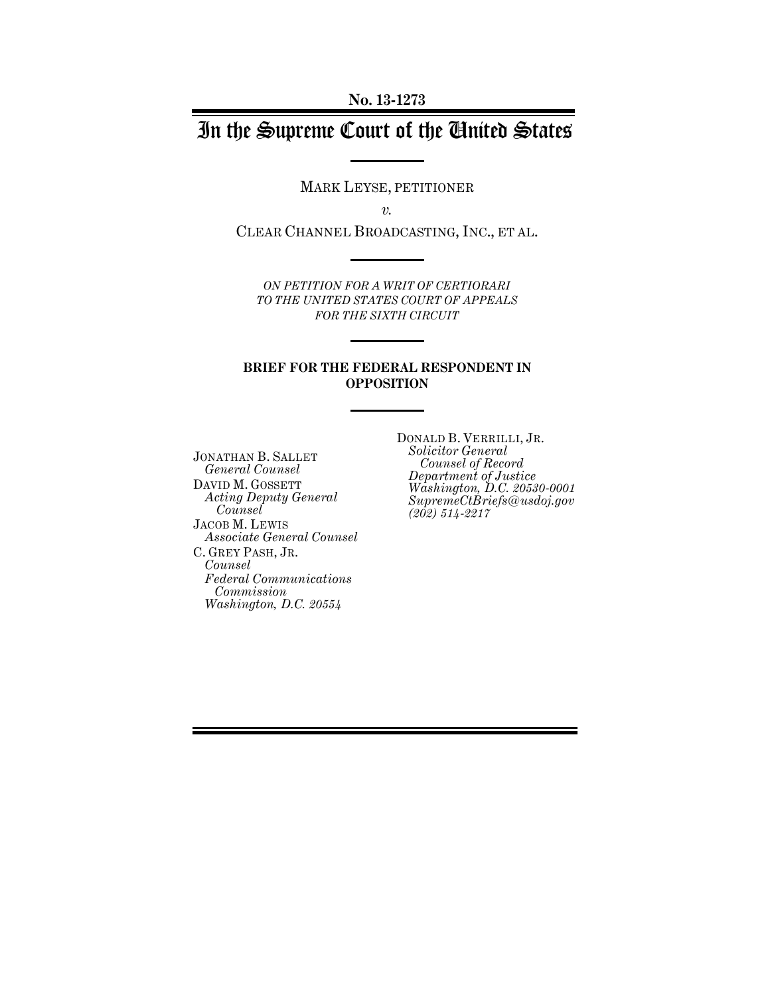# In the Supreme Court of the United States

MARK LEYSE, PETITIONER

*v.*

CLEAR CHANNEL BROADCASTING, INC., ET AL.

*ON PETITION FOR A WRIT OF CERTIORARI TO THE UNITED STATES COURT OF APPEALS FOR THE SIXTH CIRCUIT* 

#### **BRIEF FOR THE FEDERAL RESPONDENT IN OPPOSITION**

JONATHAN B. SALLET *General Counsel*  DAVID M. GOSSETT *Acting Deputy General Counsel*  JACOB M. LEWIS *Associate General Counsel*  C. GREY PASH, JR. *Counsel Federal Communications Commission Washington, D.C. 20554* 

DONALD B. VERRILLI, JR. *Solicitor General Counsel of Record Department of Justice Washington, D.C. 20530-0001 SupremeCtBriefs@usdoj.gov (202) 514-2217*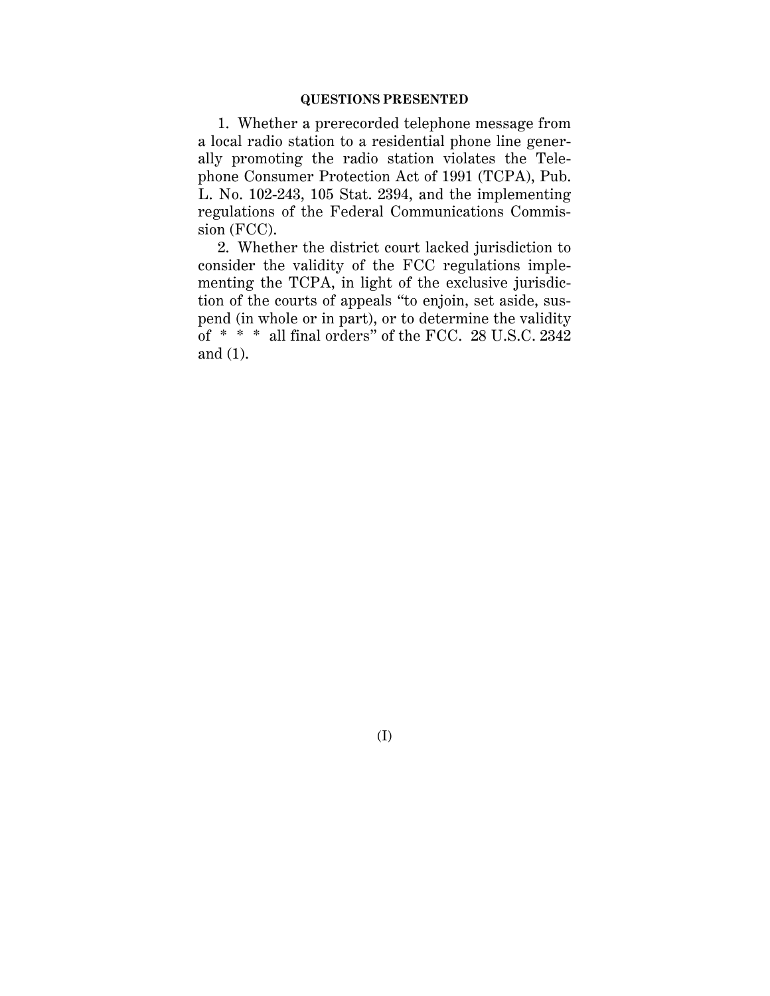#### **QUESTIONS PRESENTED**

1. Whether a prerecorded telephone message from a local radio station to a residential phone line generally promoting the radio station violates the Telephone Consumer Protection Act of 1991 (TCPA), Pub. L. No. 102-243, 105 Stat. 2394, and the implementing regulations of the Federal Communications Commission (FCC).

2. Whether the district court lacked jurisdiction to consider the validity of the FCC regulations implementing the TCPA, in light of the exclusive jurisdiction of the courts of appeals "to enjoin, set aside, suspend (in whole or in part), or to determine the validity of \* \* \* all final orders" of the FCC. 28 U.S.C. 2342 and (1).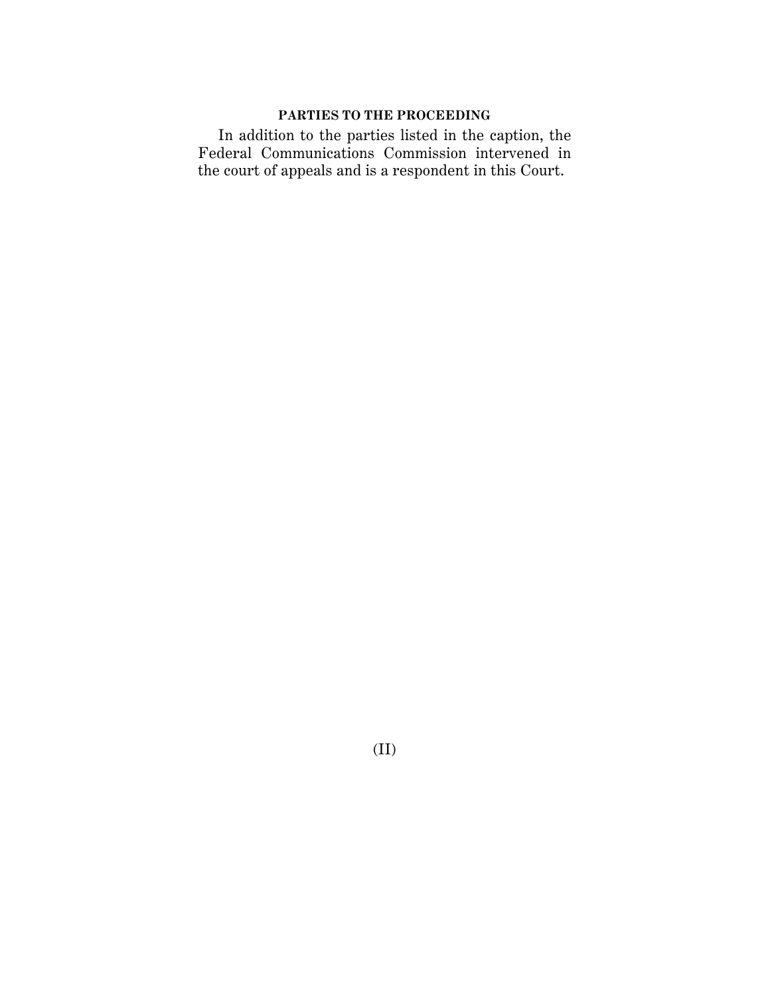## **PARTIES TO THE PROCEEDING**

In addition to the parties listed in the caption, the Federal Communications Commission intervened in the court of appeals and is a respondent in this Court.

(II)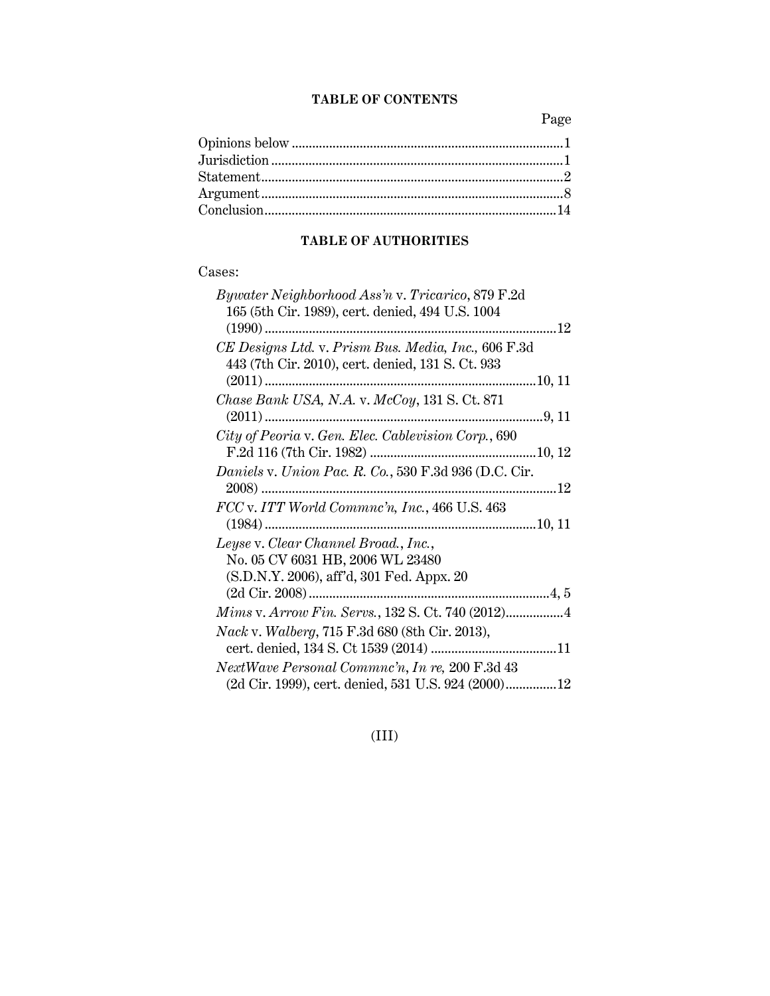## **TABLE OF CONTENTS**

Page

## **TABLE OF AUTHORITIES**

## Cases:

| <i>Bywater Neighborhood Ass'n v. Tricarico, 879 F.2d</i> |
|----------------------------------------------------------|
| 165 (5th Cir. 1989), cert. denied, 494 U.S. 1004         |
|                                                          |
| CE Designs Ltd. v. Prism Bus. Media, Inc., 606 F.3d      |
| 443 (7th Cir. 2010), cert. denied, 131 S. Ct. 933        |
|                                                          |
| Chase Bank USA, N.A. v. McCoy, 131 S. Ct. 871            |
|                                                          |
| City of Peoria v. Gen. Elec. Cablevision Corp., 690      |
|                                                          |
| Daniels v. Union Pac. R. Co., 530 F.3d 936 (D.C. Cir.    |
|                                                          |
| FCC v. ITT World Commnc'n, Inc., 466 U.S. 463            |
|                                                          |
| Leyse v. Clear Channel Broad., Inc.,                     |
| No. 05 CV 6031 HB, 2006 WL 23480                         |
| (S.D.N.Y. 2006), aff'd, 301 Fed. Appx. 20                |
|                                                          |
|                                                          |
|                                                          |
| Nack v. Walberg, 715 F.3d 680 (8th Cir. 2013),           |
|                                                          |
| NextWave Personal Commnc'n, In re, 200 F.3d 43           |
| (2d Cir. 1999), cert. denied, 531 U.S. 924 (2000) 12     |

## (III)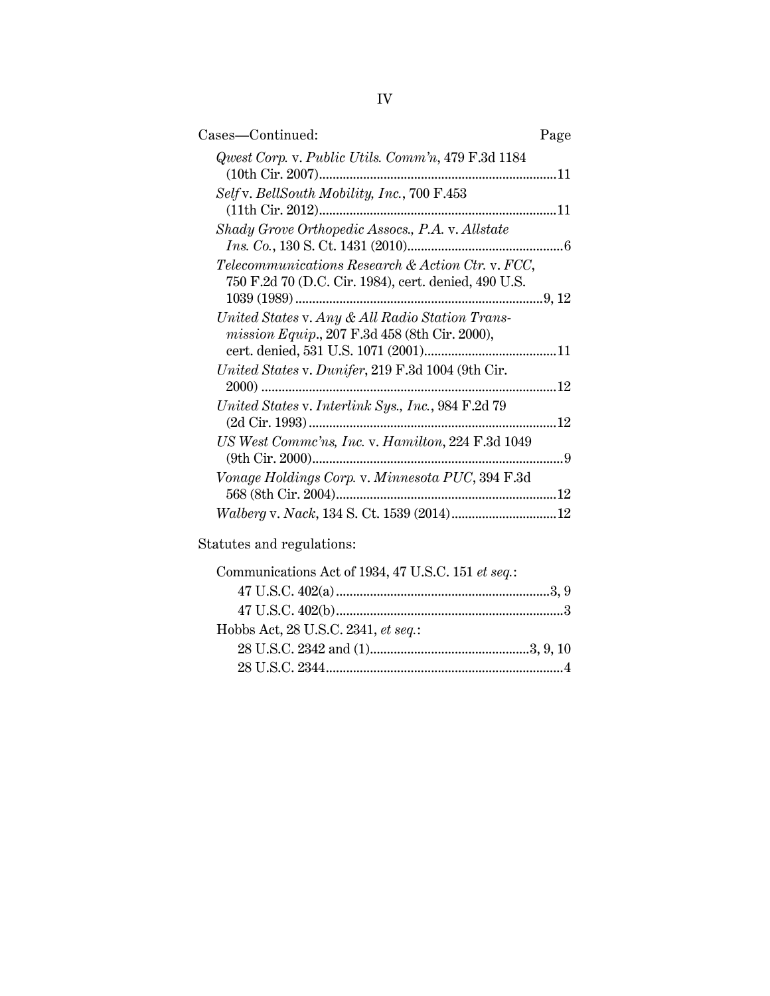| Cases-Continued:                                                                                          | Page |
|-----------------------------------------------------------------------------------------------------------|------|
| Qwest Corp. v. Public Utils. Comm'n, 479 F.3d 1184<br>(10th Cir. 2007)                                    | 11   |
| Self v. BellSouth Mobility, Inc., 700 F.453                                                               |      |
| Shady Grove Orthopedic Assocs., P.A. v. Allstate                                                          |      |
| Telecommunications Research & Action Ctr. v. FCC,<br>750 F.2d 70 (D.C. Cir. 1984), cert. denied, 490 U.S. |      |
| United States v. Any & All Radio Station Trans-<br>mission Equip., 207 F.3d 458 (8th Cir. 2000),          |      |
| United States v. Dunifer, 219 F.3d 1004 (9th Cir.                                                         | . 12 |
| United States v. Interlink Sys., Inc., 984 F.2d 79                                                        |      |
| US West Commc'ns, Inc. v. Hamilton, 224 F.3d 1049<br>(9th Cir. 2000)                                      | 9    |
| Vonage Holdings Corp. v. Minnesota PUC, 394 F.3d                                                          |      |
|                                                                                                           |      |

Statutes and regulations:

| Communications Act of 1934, 47 U.S.C. 151 et seq.: |  |
|----------------------------------------------------|--|
|                                                    |  |
|                                                    |  |
| Hobbs Act, 28 U.S.C. 2341, et seq.:                |  |
|                                                    |  |
|                                                    |  |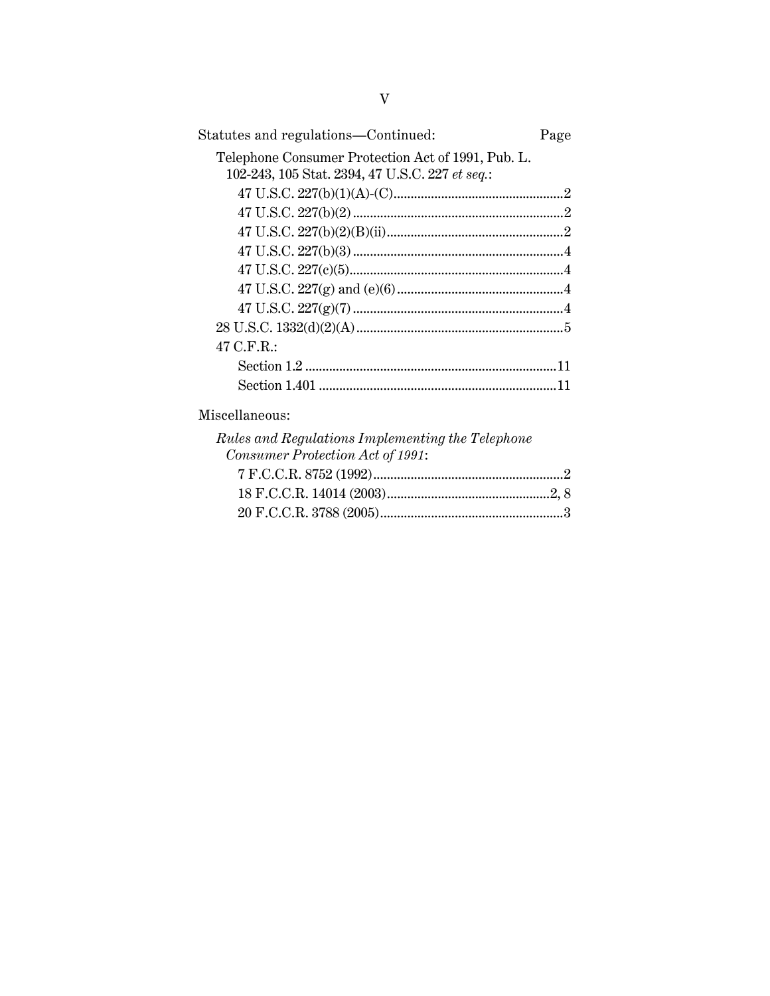| Statutes and regulations—Continued:                | Page |
|----------------------------------------------------|------|
| Telephone Consumer Protection Act of 1991, Pub. L. |      |
| 102-243, 105 Stat. 2394, 47 U.S.C. 227 et seq.:    |      |
|                                                    |      |
|                                                    |      |
|                                                    |      |
|                                                    |      |
|                                                    |      |
|                                                    |      |
|                                                    |      |
|                                                    |      |
| 47 C.F.R.:                                         |      |
|                                                    |      |
|                                                    |      |
|                                                    |      |

### Miscellaneous:

| Rules and Regulations Implementing the Telephone |  |
|--------------------------------------------------|--|
| Consumer Protection Act of 1991:                 |  |
|                                                  |  |
|                                                  |  |
|                                                  |  |
|                                                  |  |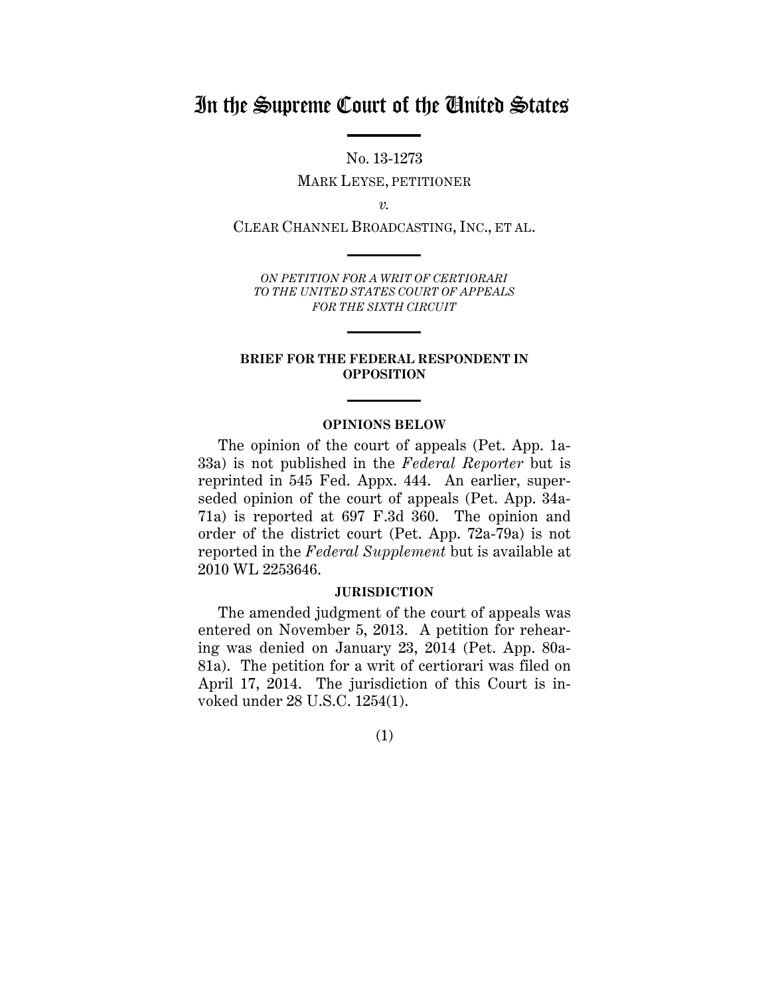## In the Supreme Court of the United States

No. 13-1273

MARK LEYSE, PETITIONER

*v.*

CLEAR CHANNEL BROADCASTING, INC., ET AL.

*ON PETITION FOR A WRIT OF CERTIORARI TO THE UNITED STATES COURT OF APPEALS FOR THE SIXTH CIRCUIT* 

#### **BRIEF FOR THE FEDERAL RESPONDENT IN OPPOSITION**

#### **OPINIONS BELOW**

The opinion of the court of appeals (Pet. App. 1a-33a) is not published in the *Federal Reporter* but is reprinted in 545 Fed. Appx. 444. An earlier, superseded opinion of the court of appeals (Pet. App. 34a-71a) is reported at 697 F.3d 360. The opinion and order of the district court (Pet. App. 72a-79a) is not reported in the *Federal Supplement* but is available at 2010 WL 2253646.

#### **JURISDICTION**

The amended judgment of the court of appeals was entered on November 5, 2013. A petition for rehearing was denied on January 23, 2014 (Pet. App. 80a-81a). The petition for a writ of certiorari was filed on April 17, 2014. The jurisdiction of this Court is invoked under 28 U.S.C. 1254(1).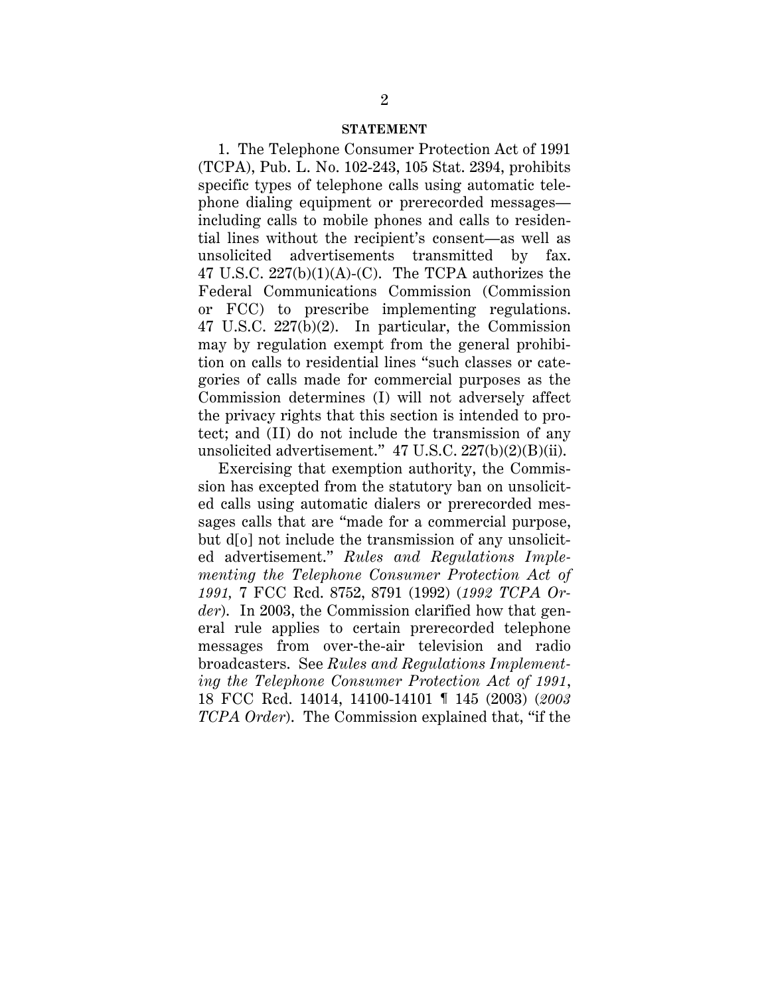#### **STATEMENT**

1. The Telephone Consumer Protection Act of 1991 (TCPA), Pub. L. No. 102-243, 105 Stat. 2394, prohibits specific types of telephone calls using automatic telephone dialing equipment or prerecorded messages including calls to mobile phones and calls to residential lines without the recipient's consent—as well as unsolicited advertisements transmitted by fax. 47 U.S.C.  $227(b)(1)(A)-(C)$ . The TCPA authorizes the Federal Communications Commission (Commission or FCC) to prescribe implementing regulations. 47 U.S.C. 227(b)(2). In particular, the Commission may by regulation exempt from the general prohibition on calls to residential lines "such classes or categories of calls made for commercial purposes as the Commission determines (I) will not adversely affect the privacy rights that this section is intended to protect; and (II) do not include the transmission of any unsolicited advertisement." 47 U.S.C. 227(b)(2)(B)(ii).

Exercising that exemption authority, the Commission has excepted from the statutory ban on unsolicited calls using automatic dialers or prerecorded messages calls that are "made for a commercial purpose, but d[o] not include the transmission of any unsolicited advertisement." *Rules and Regulations Implementing the Telephone Consumer Protection Act of 1991,* 7 FCC Rcd. 8752, 8791 (1992) (*1992 TCPA Order*). In 2003, the Commission clarified how that general rule applies to certain prerecorded telephone messages from over-the-air television and radio broadcasters. See *Rules and Regulations Implementing the Telephone Consumer Protection Act of 1991*, 18 FCC Rcd. 14014, 14100-14101 ¶ 145 (2003) (*2003 TCPA Order*). The Commission explained that, "if the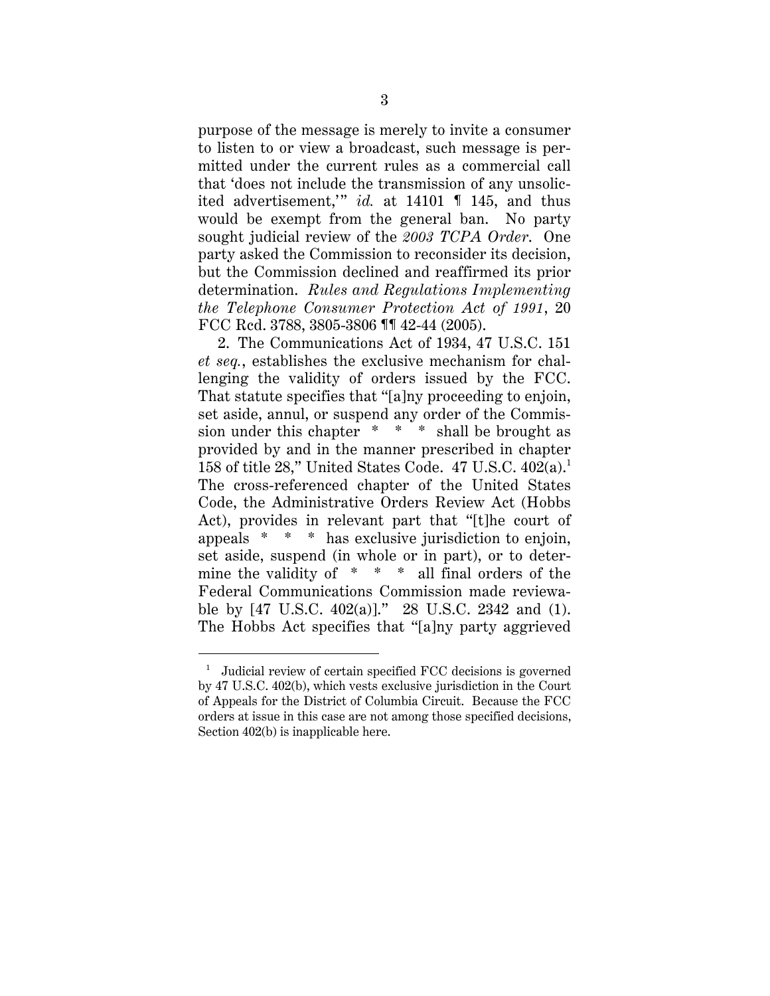purpose of the message is merely to invite a consumer to listen to or view a broadcast, such message is permitted under the current rules as a commercial call that 'does not include the transmission of any unsolicited advertisement,'" *id.* at 14101 ¶ 145, and thus would be exempt from the general ban. No party sought judicial review of the *2003 TCPA Order*. One party asked the Commission to reconsider its decision, but the Commission declined and reaffirmed its prior determination. *Rules and Regulations Implementing the Telephone Consumer Protection Act of 1991*, 20 FCC Rcd. 3788, 3805-3806 ¶¶ 42-44 (2005).

2. The Communications Act of 1934, 47 U.S.C. 151 *et seq.*, establishes the exclusive mechanism for challenging the validity of orders issued by the FCC. That statute specifies that "[a]ny proceeding to enjoin, set aside, annul, or suspend any order of the Commission under this chapter  $* * *$  shall be brought as provided by and in the manner prescribed in chapter 158 of title 28," United States Code. 47 U.S.C.  $402(a)$ .<sup>1</sup> The cross-referenced chapter of the United States Code, the Administrative Orders Review Act (Hobbs Act), provides in relevant part that "[t]he court of appeals \* \* \* has exclusive jurisdiction to enjoin, set aside, suspend (in whole or in part), or to determine the validity of \* \* \* all final orders of the Federal Communications Commission made reviewable by [47 U.S.C. 402(a)]." 28 U.S.C. 2342 and (1). The Hobbs Act specifies that "[a]ny party aggrieved

<sup>1</sup> Judicial review of certain specified FCC decisions is governed by 47 U.S.C. 402(b), which vests exclusive jurisdiction in the Court of Appeals for the District of Columbia Circuit. Because the FCC orders at issue in this case are not among those specified decisions, Section 402(b) is inapplicable here.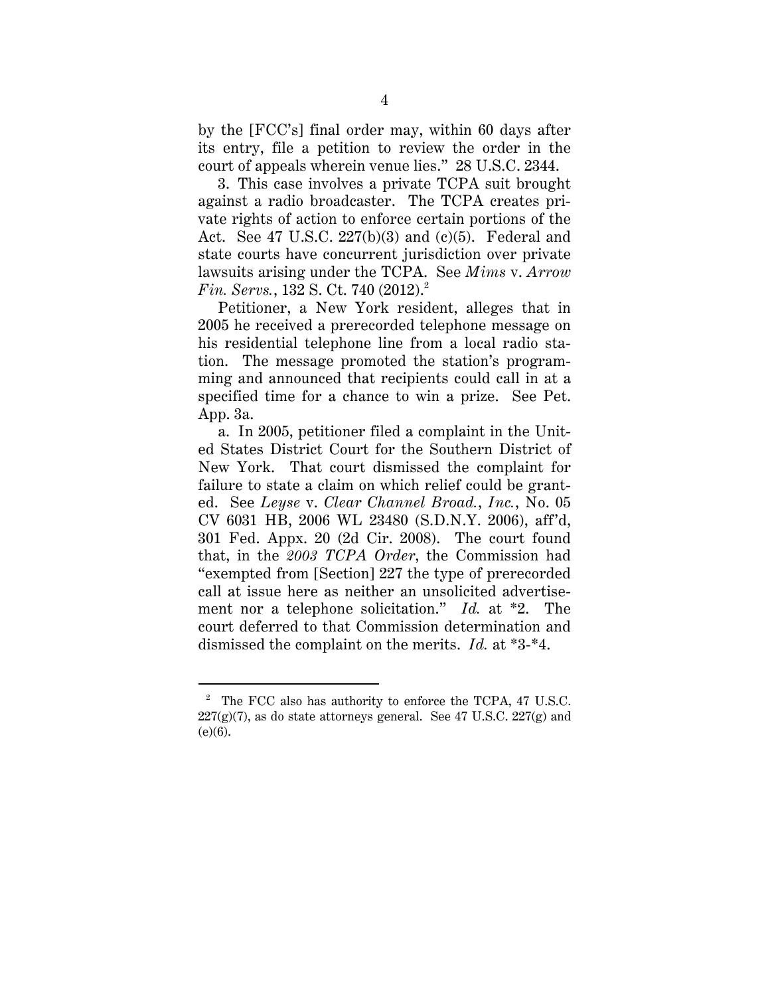by the [FCC's] final order may, within 60 days after its entry, file a petition to review the order in the court of appeals wherein venue lies." 28 U.S.C. 2344.

3. This case involves a private TCPA suit brought against a radio broadcaster. The TCPA creates private rights of action to enforce certain portions of the Act. See 47 U.S.C.  $227(b)(3)$  and (c)(5). Federal and state courts have concurrent jurisdiction over private lawsuits arising under the TCPA. See *Mims* v. *Arrow Fin. Servs.,* 132 S. Ct. 740 (2012).<sup>2</sup>

Petitioner, a New York resident, alleges that in 2005 he received a prerecorded telephone message on his residential telephone line from a local radio station. The message promoted the station's programming and announced that recipients could call in at a specified time for a chance to win a prize. See Pet. App. 3a.

a. In 2005, petitioner filed a complaint in the United States District Court for the Southern District of New York. That court dismissed the complaint for failure to state a claim on which relief could be granted. See *Leyse* v. *Clear Channel Broad.*, *Inc.*, No. 05 CV 6031 HB, 2006 WL 23480 (S.D.N.Y. 2006), aff'd, 301 Fed. Appx. 20 (2d Cir. 2008). The court found that, in the *2003 TCPA Order*, the Commission had "exempted from [Section] 227 the type of prerecorded call at issue here as neither an unsolicited advertisement nor a telephone solicitation." *Id.* at \*2. The court deferred to that Commission determination and dismissed the complaint on the merits. *Id.* at \*3-\*4.

<sup>&</sup>lt;sup>2</sup> The FCC also has authority to enforce the TCPA, 47 U.S.C.  $227(g)(7)$ , as do state attorneys general. See 47 U.S.C.  $227(g)$  and (e)(6).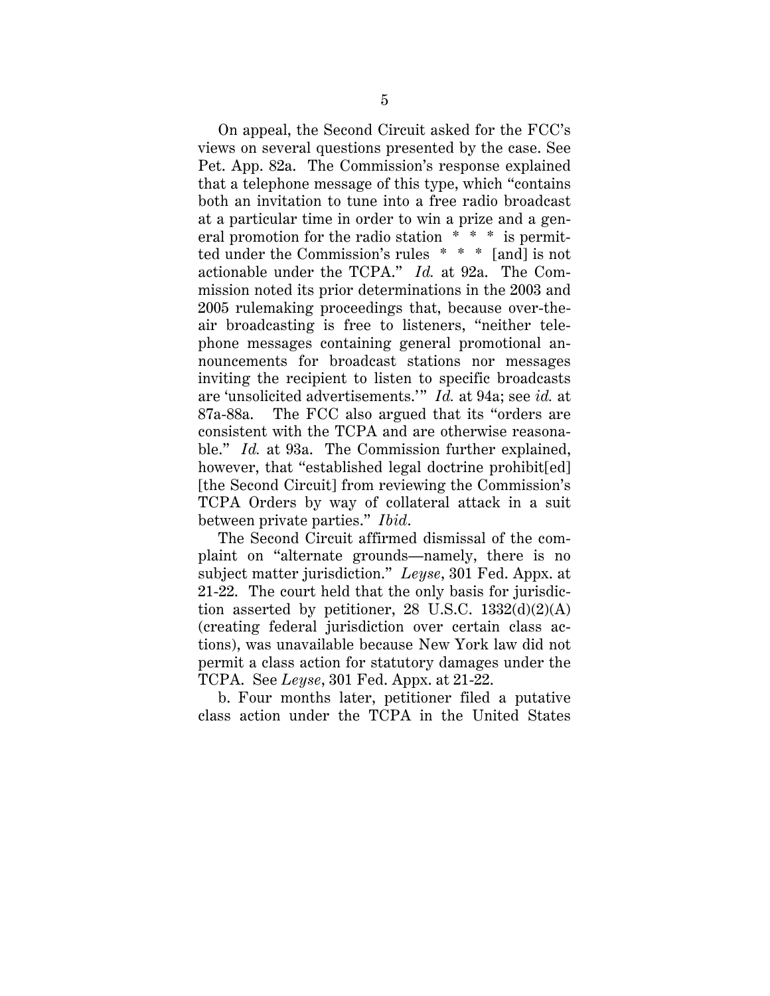On appeal, the Second Circuit asked for the FCC's views on several questions presented by the case. See Pet. App. 82a. The Commission's response explained that a telephone message of this type, which "contains both an invitation to tune into a free radio broadcast at a particular time in order to win a prize and a general promotion for the radio station \* \* \* is permitted under the Commission's rules \* \* \* [and] is not actionable under the TCPA." *Id.* at 92a. The Commission noted its prior determinations in the 2003 and 2005 rulemaking proceedings that, because over-theair broadcasting is free to listeners, "neither telephone messages containing general promotional announcements for broadcast stations nor messages inviting the recipient to listen to specific broadcasts are 'unsolicited advertisements.'" *Id.* at 94a; see *id.* at 87a-88a. The FCC also argued that its "orders are consistent with the TCPA and are otherwise reasonable." *Id.* at 93a. The Commission further explained, however, that "established legal doctrine prohibit [ed] [the Second Circuit] from reviewing the Commission's TCPA Orders by way of collateral attack in a suit between private parties." *Ibid*.

The Second Circuit affirmed dismissal of the complaint on "alternate grounds—namely, there is no subject matter jurisdiction." *Leyse*, 301 Fed. Appx. at 21-22. The court held that the only basis for jurisdiction asserted by petitioner, 28 U.S.C.  $1332(d)(2)(A)$ (creating federal jurisdiction over certain class actions), was unavailable because New York law did not permit a class action for statutory damages under the TCPA. See *Leyse*, 301 Fed. Appx. at 21-22.

b. Four months later, petitioner filed a putative class action under the TCPA in the United States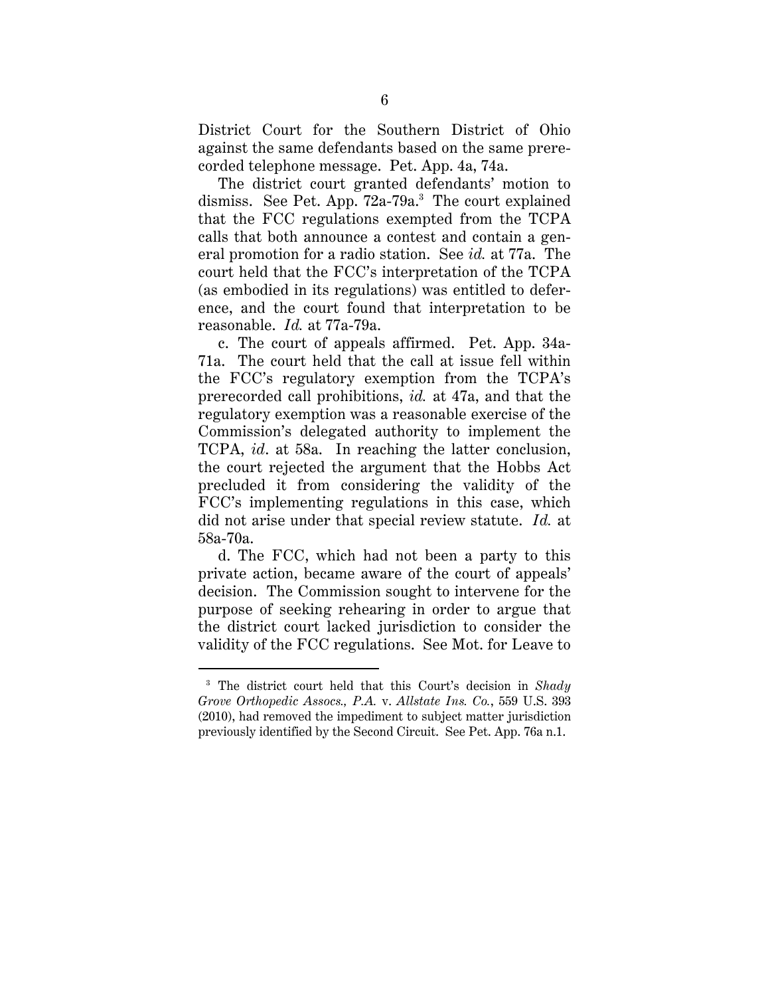District Court for the Southern District of Ohio against the same defendants based on the same prerecorded telephone message. Pet. App. 4a, 74a.

The district court granted defendants' motion to dismiss. See Pet. App.  $72a-79a$ <sup>3</sup> The court explained that the FCC regulations exempted from the TCPA calls that both announce a contest and contain a general promotion for a radio station. See *id.* at 77a. The court held that the FCC's interpretation of the TCPA (as embodied in its regulations) was entitled to deference, and the court found that interpretation to be reasonable. *Id.* at 77a-79a.

c. The court of appeals affirmed. Pet. App. 34a-71a. The court held that the call at issue fell within the FCC's regulatory exemption from the TCPA's prerecorded call prohibitions, *id.* at 47a, and that the regulatory exemption was a reasonable exercise of the Commission's delegated authority to implement the TCPA, *id*. at 58a. In reaching the latter conclusion, the court rejected the argument that the Hobbs Act precluded it from considering the validity of the FCC's implementing regulations in this case, which did not arise under that special review statute. *Id.* at 58a-70a.

d. The FCC, which had not been a party to this private action, became aware of the court of appeals' decision. The Commission sought to intervene for the purpose of seeking rehearing in order to argue that the district court lacked jurisdiction to consider the validity of the FCC regulations. See Mot. for Leave to

<sup>3</sup> The district court held that this Court's decision in *Shady Grove Orthopedic Assocs., P.A.* v. *Allstate Ins. Co.*, 559 U.S. 393 (2010), had removed the impediment to subject matter jurisdiction previously identified by the Second Circuit. See Pet. App. 76a n.1.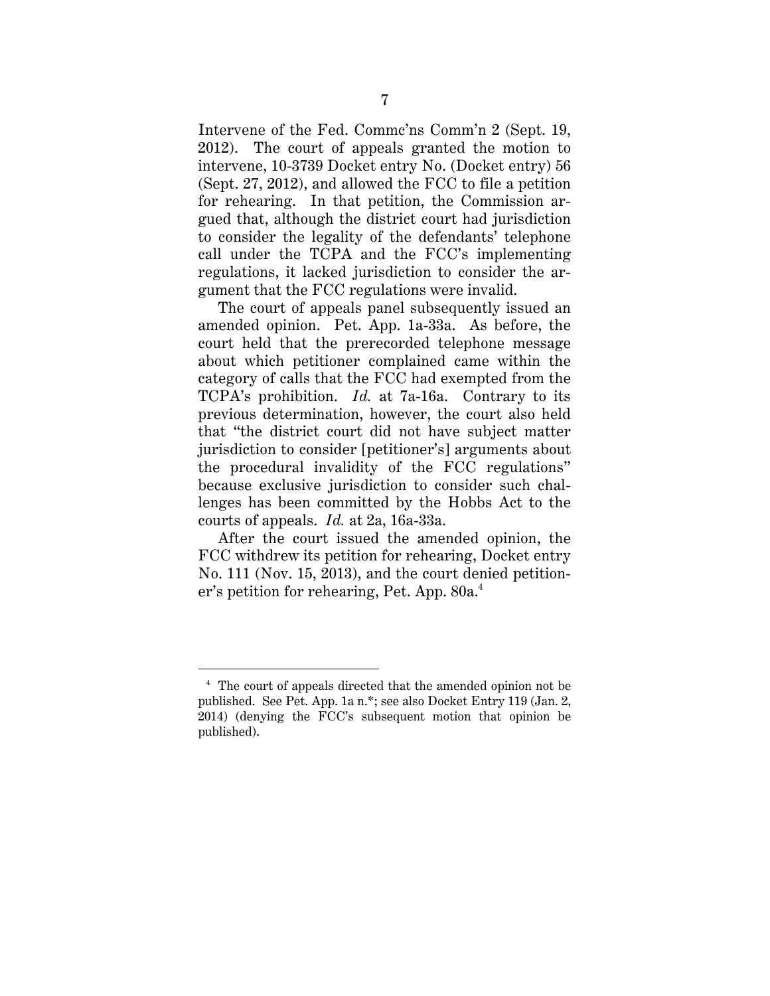Intervene of the Fed. Commc'ns Comm'n 2 (Sept. 19, 2012). The court of appeals granted the motion to intervene, 10-3739 Docket entry No. (Docket entry) 56 (Sept. 27, 2012), and allowed the FCC to file a petition for rehearing. In that petition, the Commission argued that, although the district court had jurisdiction to consider the legality of the defendants' telephone call under the TCPA and the FCC's implementing regulations, it lacked jurisdiction to consider the argument that the FCC regulations were invalid.

The court of appeals panel subsequently issued an amended opinion. Pet. App. 1a-33a. As before, the court held that the prerecorded telephone message about which petitioner complained came within the category of calls that the FCC had exempted from the TCPA's prohibition. *Id.* at 7a-16a. Contrary to its previous determination, however, the court also held that "the district court did not have subject matter jurisdiction to consider [petitioner's] arguments about the procedural invalidity of the FCC regulations" because exclusive jurisdiction to consider such challenges has been committed by the Hobbs Act to the courts of appeals. *Id.* at 2a, 16a-33a.

After the court issued the amended opinion, the FCC withdrew its petition for rehearing, Docket entry No. 111 (Nov. 15, 2013), and the court denied petitioner's petition for rehearing, Pet. App. 80a.4

<sup>&</sup>lt;sup>4</sup> The court of appeals directed that the amended opinion not be published. See Pet. App. 1a n.\*; see also Docket Entry 119 (Jan. 2, 2014) (denying the FCC's subsequent motion that opinion be published).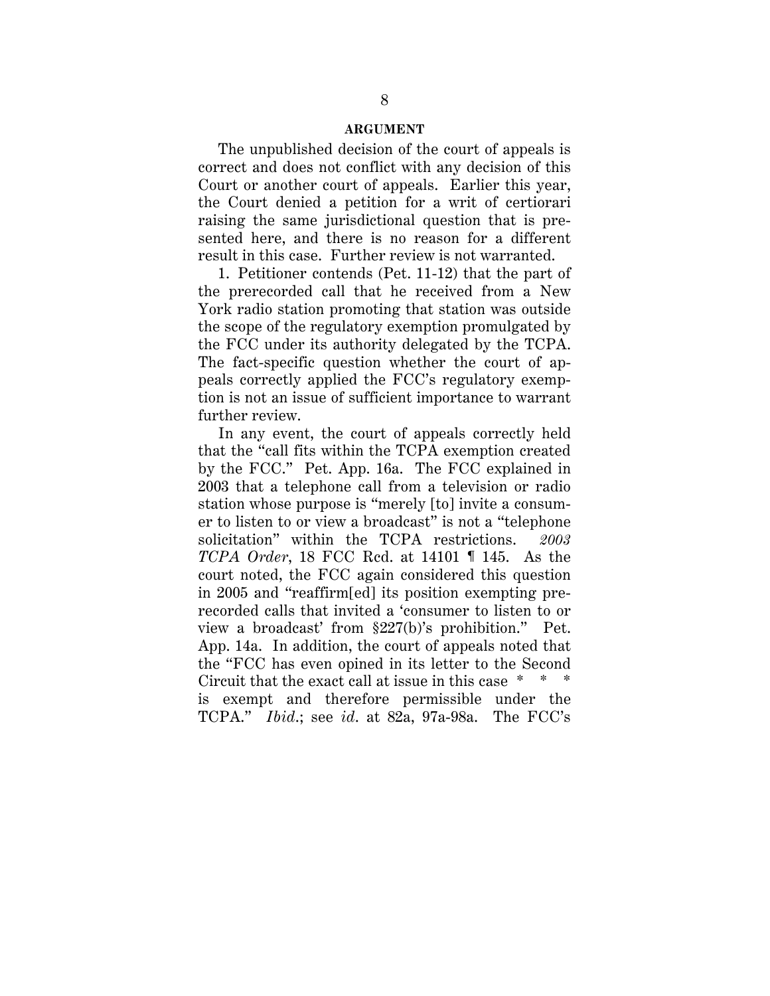#### **ARGUMENT**

The unpublished decision of the court of appeals is correct and does not conflict with any decision of this Court or another court of appeals. Earlier this year, the Court denied a petition for a writ of certiorari raising the same jurisdictional question that is presented here, and there is no reason for a different result in this case. Further review is not warranted.

1. Petitioner contends (Pet. 11-12) that the part of the prerecorded call that he received from a New York radio station promoting that station was outside the scope of the regulatory exemption promulgated by the FCC under its authority delegated by the TCPA. The fact-specific question whether the court of appeals correctly applied the FCC's regulatory exemption is not an issue of sufficient importance to warrant further review.

In any event, the court of appeals correctly held that the "call fits within the TCPA exemption created by the FCC." Pet. App. 16a. The FCC explained in 2003 that a telephone call from a television or radio station whose purpose is "merely [to] invite a consumer to listen to or view a broadcast" is not a "telephone solicitation" within the TCPA restrictions. *2003 TCPA Order*, 18 FCC Rcd. at 14101 ¶ 145. As the court noted, the FCC again considered this question in 2005 and "reaffirm[ed] its position exempting prerecorded calls that invited a 'consumer to listen to or view a broadcast' from §227(b)'s prohibition." Pet. App. 14a. In addition, the court of appeals noted that the "FCC has even opined in its letter to the Second Circuit that the exact call at issue in this case \* \* \* is exempt and therefore permissible under the TCPA." *Ibid*.; see *id*. at 82a, 97a-98a. The FCC's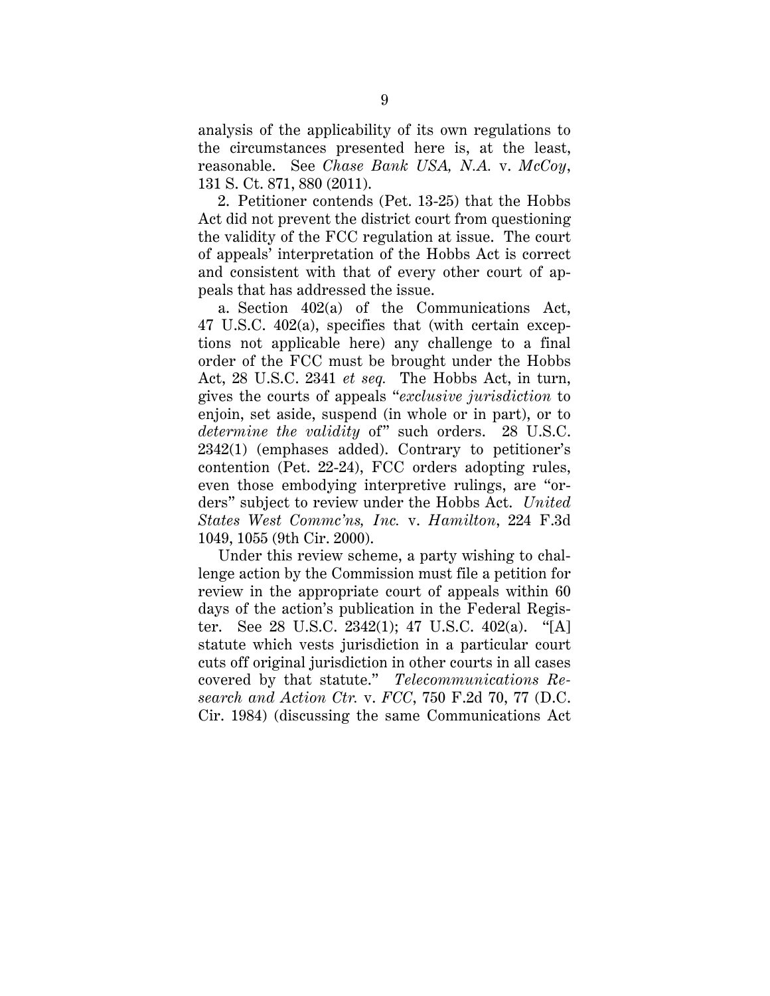analysis of the applicability of its own regulations to the circumstances presented here is, at the least, reasonable. See *Chase Bank USA, N.A.* v. *McCoy*, 131 S. Ct. 871, 880 (2011).

2. Petitioner contends (Pet. 13-25) that the Hobbs Act did not prevent the district court from questioning the validity of the FCC regulation at issue. The court of appeals' interpretation of the Hobbs Act is correct and consistent with that of every other court of appeals that has addressed the issue.

a. Section 402(a) of the Communications Act, 47 U.S.C. 402(a), specifies that (with certain exceptions not applicable here) any challenge to a final order of the FCC must be brought under the Hobbs Act, 28 U.S.C. 2341 *et seq.* The Hobbs Act, in turn, gives the courts of appeals "*exclusive jurisdiction* to enjoin, set aside, suspend (in whole or in part), or to *determine the validity* of" such orders. 28 U.S.C. 2342(1) (emphases added). Contrary to petitioner's contention (Pet. 22-24), FCC orders adopting rules, even those embodying interpretive rulings, are "orders" subject to review under the Hobbs Act. *United States West Commc'ns, Inc.* v. *Hamilton*, 224 F.3d 1049, 1055 (9th Cir. 2000).

Under this review scheme, a party wishing to challenge action by the Commission must file a petition for review in the appropriate court of appeals within 60 days of the action's publication in the Federal Register. See 28 U.S.C. 2342(1); 47 U.S.C. 402(a). "[A] statute which vests jurisdiction in a particular court cuts off original jurisdiction in other courts in all cases covered by that statute." *Telecommunications Research and Action Ctr.* v. *FCC*, 750 F.2d 70, 77 (D.C. Cir. 1984) (discussing the same Communications Act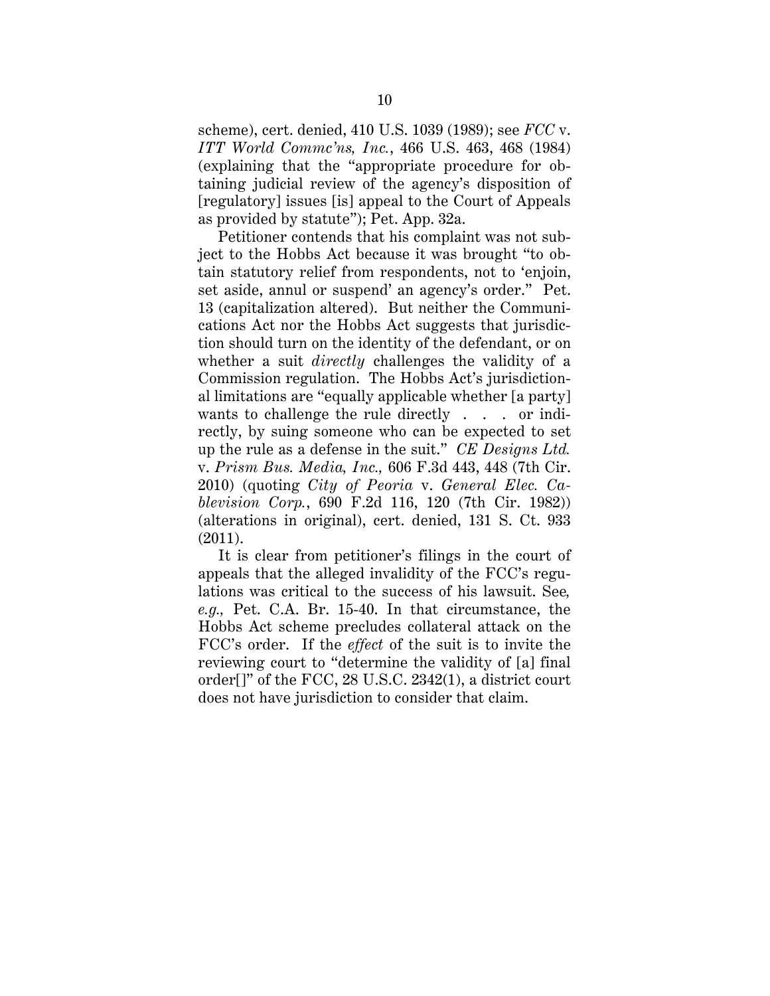scheme), cert. denied, 410 U.S. 1039 (1989); see *FCC* v. *ITT World Commc'ns, Inc.*, 466 U.S. 463, 468 (1984) (explaining that the "appropriate procedure for obtaining judicial review of the agency's disposition of [regulatory] issues [is] appeal to the Court of Appeals as provided by statute"); Pet. App. 32a.

Petitioner contends that his complaint was not subject to the Hobbs Act because it was brought "to obtain statutory relief from respondents, not to 'enjoin, set aside, annul or suspend' an agency's order." Pet. 13 (capitalization altered). But neither the Communications Act nor the Hobbs Act suggests that jurisdiction should turn on the identity of the defendant, or on whether a suit *directly* challenges the validity of a Commission regulation. The Hobbs Act's jurisdictional limitations are "equally applicable whether [a party] wants to challenge the rule directly . . . or indirectly, by suing someone who can be expected to set up the rule as a defense in the suit." *CE Designs Ltd.*  v. *Prism Bus. Media, Inc.,* 606 F.3d 443, 448 (7th Cir. 2010) (quoting *City of Peoria* v. *General Elec. Cablevision Corp.*, 690 F.2d 116, 120 (7th Cir. 1982)) (alterations in original), cert. denied, 131 S. Ct. 933 (2011).

It is clear from petitioner's filings in the court of appeals that the alleged invalidity of the FCC's regulations was critical to the success of his lawsuit. See*, e.g.,* Pet. C.A. Br. 15-40. In that circumstance, the Hobbs Act scheme precludes collateral attack on the FCC's order. If the *effect* of the suit is to invite the reviewing court to "determine the validity of [a] final order[]" of the FCC, 28 U.S.C. 2342(1), a district court does not have jurisdiction to consider that claim.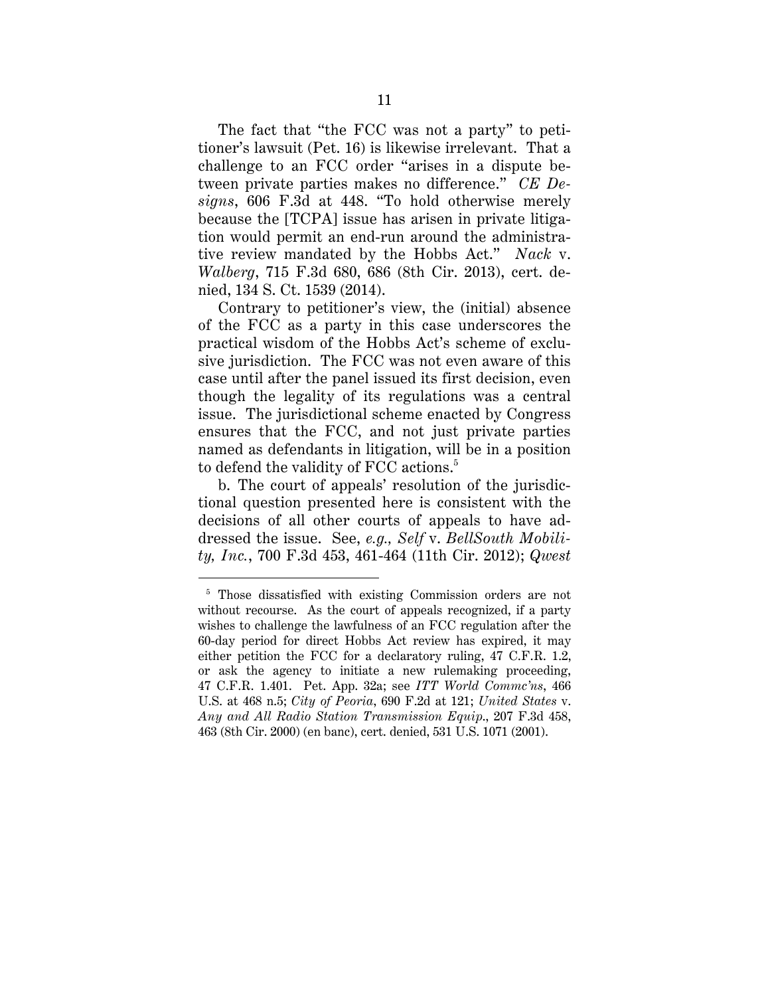The fact that "the FCC was not a party" to petitioner's lawsuit (Pet. 16) is likewise irrelevant. That a challenge to an FCC order "arises in a dispute between private parties makes no difference." *CE Designs*, 606 F.3d at 448. "To hold otherwise merely because the [TCPA] issue has arisen in private litigation would permit an end-run around the administrative review mandated by the Hobbs Act." *Nack* v. *Walberg*, 715 F.3d 680, 686 (8th Cir. 2013), cert. denied, 134 S. Ct. 1539 (2014).

Contrary to petitioner's view, the (initial) absence of the FCC as a party in this case underscores the practical wisdom of the Hobbs Act's scheme of exclusive jurisdiction. The FCC was not even aware of this case until after the panel issued its first decision, even though the legality of its regulations was a central issue. The jurisdictional scheme enacted by Congress ensures that the FCC, and not just private parties named as defendants in litigation, will be in a position to defend the validity of FCC actions.<sup>5</sup>

b. The court of appeals' resolution of the jurisdictional question presented here is consistent with the decisions of all other courts of appeals to have addressed the issue. See, *e.g., Self* v. *BellSouth Mobility, Inc.*, 700 F.3d 453, 461-464 (11th Cir. 2012); *Qwest* 

 $\ddot{\phantom{a}}$ 

<sup>&</sup>lt;sup>5</sup> Those dissatisfied with existing Commission orders are not without recourse. As the court of appeals recognized, if a party wishes to challenge the lawfulness of an FCC regulation after the 60-day period for direct Hobbs Act review has expired, it may either petition the FCC for a declaratory ruling, 47 C.F.R. 1.2, or ask the agency to initiate a new rulemaking proceeding, 47 C.F.R. 1.401. Pet. App. 32a; see *ITT World Commc'ns*, 466 U.S. at 468 n.5; *City of Peoria*, 690 F.2d at 121; *United States* v. *Any and All Radio Station Transmission Equip*., 207 F.3d 458, 463 (8th Cir. 2000) (en banc), cert. denied, 531 U.S. 1071 (2001).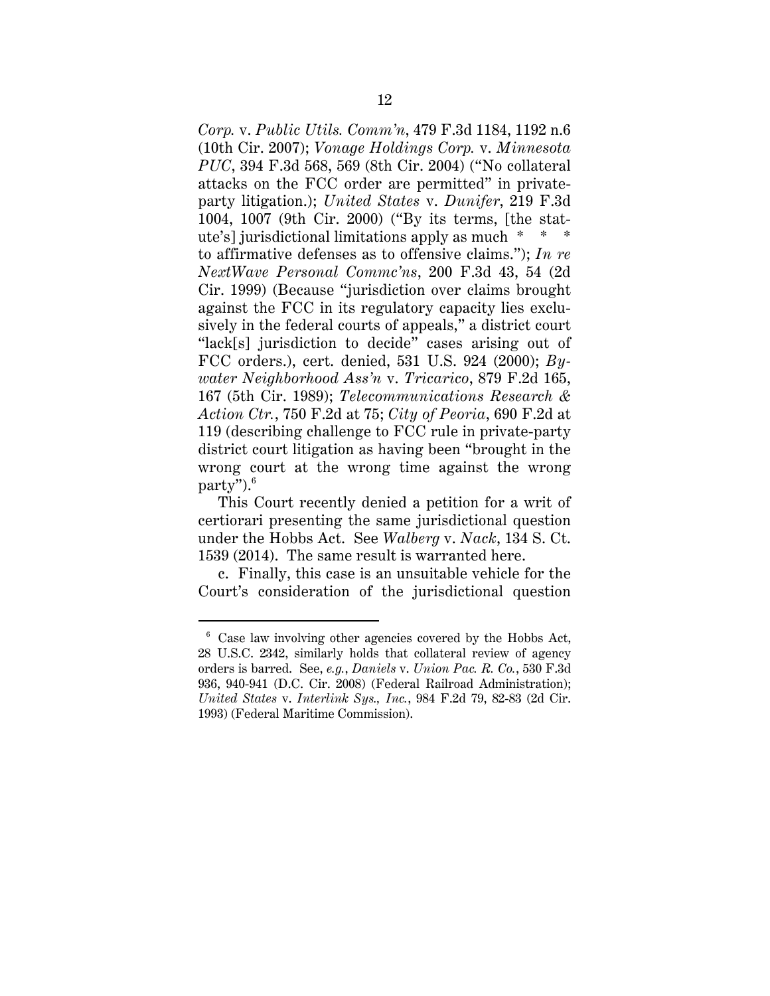*Corp.* v. *Public Utils. Comm'n*, 479 F.3d 1184, 1192 n.6 (10th Cir. 2007); *Vonage Holdings Corp.* v. *Minnesota PUC*, 394 F.3d 568, 569 (8th Cir. 2004) ("No collateral attacks on the FCC order are permitted" in privateparty litigation.); *United States* v. *Dunifer*, 219 F.3d 1004, 1007 (9th Cir. 2000) ("By its terms, [the statute's] jurisdictional limitations apply as much \* \* \* to affirmative defenses as to offensive claims."); *In re NextWave Personal Commc'ns*, 200 F.3d 43, 54 (2d Cir. 1999) (Because "jurisdiction over claims brought against the FCC in its regulatory capacity lies exclusively in the federal courts of appeals," a district court "lack[s] jurisdiction to decide" cases arising out of FCC orders.), cert. denied, 531 U.S. 924 (2000); *Bywater Neighborhood Ass'n* v. *Tricarico*, 879 F.2d 165, 167 (5th Cir. 1989); *Telecommunications Research & Action Ctr.*, 750 F.2d at 75; *City of Peoria*, 690 F.2d at 119 (describing challenge to FCC rule in private-party district court litigation as having been "brought in the wrong court at the wrong time against the wrong party").6

This Court recently denied a petition for a writ of certiorari presenting the same jurisdictional question under the Hobbs Act. See *Walberg* v. *Nack*, 134 S. Ct. 1539 (2014). The same result is warranted here.

c. Finally, this case is an unsuitable vehicle for the Court's consideration of the jurisdictional question

 $\ddot{\phantom{a}}$ 

<sup>6</sup> Case law involving other agencies covered by the Hobbs Act, 28 U.S.C. 2342, similarly holds that collateral review of agency orders is barred. See, *e.g.*, *Daniels* v. *Union Pac. R. Co.*, 530 F.3d 936, 940-941 (D.C. Cir. 2008) (Federal Railroad Administration); *United States* v. *Interlink Sys., Inc.*, 984 F.2d 79, 82-83 (2d Cir. 1993) (Federal Maritime Commission).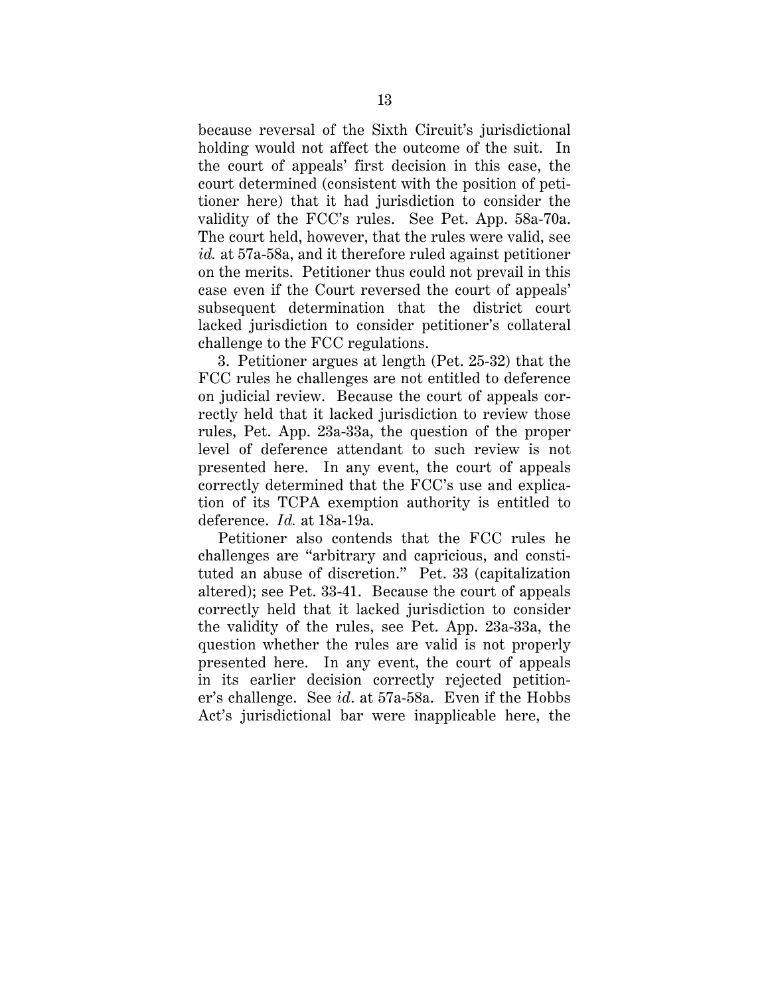because reversal of the Sixth Circuit's jurisdictional holding would not affect the outcome of the suit. In the court of appeals' first decision in this case, the court determined (consistent with the position of petitioner here) that it had jurisdiction to consider the validity of the FCC's rules. See Pet. App. 58a-70a. The court held, however, that the rules were valid, see *id.* at 57a-58a, and it therefore ruled against petitioner on the merits. Petitioner thus could not prevail in this case even if the Court reversed the court of appeals' subsequent determination that the district court lacked jurisdiction to consider petitioner's collateral challenge to the FCC regulations.

3. Petitioner argues at length (Pet. 25-32) that the FCC rules he challenges are not entitled to deference on judicial review. Because the court of appeals correctly held that it lacked jurisdiction to review those rules, Pet. App. 23a-33a, the question of the proper level of deference attendant to such review is not presented here. In any event, the court of appeals correctly determined that the FCC's use and explication of its TCPA exemption authority is entitled to deference. *Id.* at 18a-19a.

Petitioner also contends that the FCC rules he challenges are "arbitrary and capricious, and constituted an abuse of discretion." Pet. 33 (capitalization altered); see Pet. 33-41. Because the court of appeals correctly held that it lacked jurisdiction to consider the validity of the rules, see Pet. App. 23a-33a, the question whether the rules are valid is not properly presented here. In any event, the court of appeals in its earlier decision correctly rejected petitioner's challenge. See *id*. at 57a-58a. Even if the Hobbs Act's jurisdictional bar were inapplicable here, the